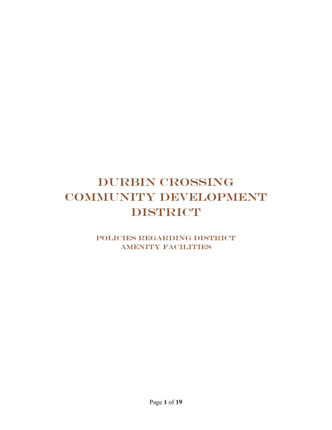# DURBIN CROSSING COMMUNITY DEVELOPMENT DISTRICT

Policies Regarding District AMENITY FACILITIES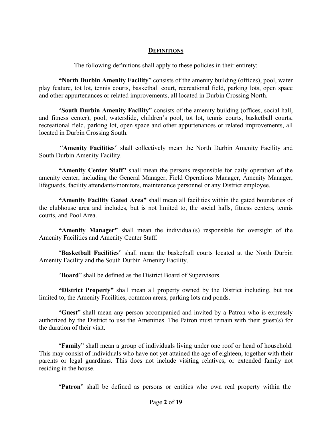#### **DEFINITIONS**

The following definitions shall apply to these policies in their entirety:

**"North Durbin Amenity Facility**" consists of the amenity building (offices), pool, water play feature, tot lot, tennis courts, basketball court, recreational field, parking lots, open space and other appurtenances or related improvements, all located in Durbin Crossing North.

"**South Durbin Amenity Facility**" consists of the amenity building (offices, social hall, and fitness center), pool, waterslide, children's pool, tot lot, tennis courts, basketball courts, recreational field, parking lot, open space and other appurtenances or related improvements, all located in Durbin Crossing South.

 "**Amenity Facilities**" shall collectively mean the North Durbin Amenity Facility and South Durbin Amenity Facility.

**"Amenity Center Staff"** shall mean the persons responsible for daily operation of the amenity center, including the General Manager, Field Operations Manager, Amenity Manager, lifeguards, facility attendants/monitors, maintenance personnel or any District employee.

**"Amenity Facility Gated Area"** shall mean all facilities within the gated boundaries of the clubhouse area and includes, but is not limited to, the social halls, fitness centers, tennis courts, and Pool Area.

**"Amenity Manager"** shall mean the individual(s) responsible for oversight of the Amenity Facilities and Amenity Center Staff.

"**Basketball Facilities**" shall mean the basketball courts located at the North Durbin Amenity Facility and the South Durbin Amenity Facility.

"**Board**" shall be defined as the District Board of Supervisors.

**"District Property"** shall mean all property owned by the District including, but not limited to, the Amenity Facilities, common areas, parking lots and ponds.

"**Guest**" shall mean any person accompanied and invited by a Patron who is expressly authorized by the District to use the Amenities. The Patron must remain with their guest(s) for the duration of their visit.

"**Family**" shall mean a group of individuals living under one roof or head of household. This may consist of individuals who have not yet attained the age of eighteen, together with their parents or legal guardians. This does not include visiting relatives, or extended family not residing in the house.

"**Patron**" shall be defined as persons or entities who own real property within the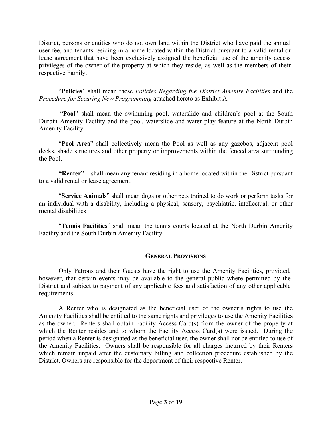District, persons or entities who do not own land within the District who have paid the annual user fee, and tenants residing in a home located within the District pursuant to a valid rental or lease agreement that have been exclusively assigned the beneficial use of the amenity access privileges of the owner of the property at which they reside, as well as the members of their respective Family.

"**Policies**" shall mean these *Policies Regarding the District Amenity Facilities* and the *Procedure for Securing New Programming* attached hereto as Exhibit A.

 "**Pool**" shall mean the swimming pool, waterslide and children's pool at the South Durbin Amenity Facility and the pool, waterslide and water play feature at the North Durbin Amenity Facility.

"**Pool Area**" shall collectively mean the Pool as well as any gazebos, adjacent pool decks, shade structures and other property or improvements within the fenced area surrounding the Pool.

**"Renter"** – shall mean any tenant residing in a home located within the District pursuant to a valid rental or lease agreement.

"**Service Animals**" shall mean dogs or other pets trained to do work or perform tasks for an individual with a disability, including a physical, sensory, psychiatric, intellectual, or other mental disabilities

"**Tennis Facilities**" shall mean the tennis courts located at the North Durbin Amenity Facility and the South Durbin Amenity Facility.

#### **GENERAL PROVISIONS**

Only Patrons and their Guests have the right to use the Amenity Facilities, provided, however, that certain events may be available to the general public where permitted by the District and subject to payment of any applicable fees and satisfaction of any other applicable requirements.

A Renter who is designated as the beneficial user of the owner's rights to use the Amenity Facilities shall be entitled to the same rights and privileges to use the Amenity Facilities as the owner. Renters shall obtain Facility Access Card(s) from the owner of the property at which the Renter resides and to whom the Facility Access Card(s) were issued. During the period when a Renter is designated as the beneficial user, the owner shall not be entitled to use of the Amenity Facilities. Owners shall be responsible for all charges incurred by their Renters which remain unpaid after the customary billing and collection procedure established by the District. Owners are responsible for the deportment of their respective Renter.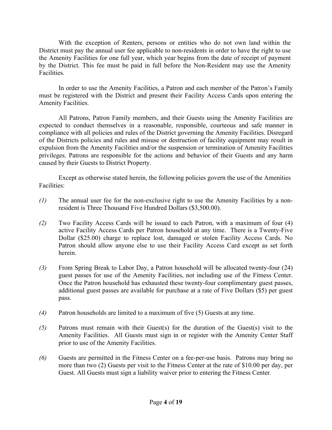With the exception of Renters, persons or entities who do not own land within the District must pay the annual user fee applicable to non-residents in order to have the right to use the Amenity Facilities for one full year, which year begins from the date of receipt of payment by the District. This fee must be paid in full before the Non-Resident may use the Amenity Facilities.

In order to use the Amenity Facilities, a Patron and each member of the Patron's Family must be registered with the District and present their Facility Access Cards upon entering the Amenity Facilities.

All Patrons, Patron Family members, and their Guests using the Amenity Facilities are expected to conduct themselves in a reasonable, responsible, courteous and safe manner in compliance with all policies and rules of the District governing the Amenity Facilities. Disregard of the Districts policies and rules and misuse or destruction of facility equipment may result in expulsion from the Amenity Facilities and/or the suspension or termination of Amenity Facilities privileges. Patrons are responsible for the actions and behavior of their Guests and any harm caused by their Guests to District Property.

Except as otherwise stated herein, the following policies govern the use of the Amenities Facilities:

- *(1)* The annual user fee for the non-exclusive right to use the Amenity Facilities by a nonresident is Three Thousand Five Hundred Dollars (\$3,500.00).
- *(2)* Two Facility Access Cards will be issued to each Patron, with a maximum of four (4) active Facility Access Cards per Patron household at any time. There is a Twenty-Five Dollar (\$25.00) charge to replace lost, damaged or stolen Facility Access Cards. No Patron should allow anyone else to use their Facility Access Card except as set forth herein.
- *(3)* From Spring Break to Labor Day, a Patron household will be allocated twenty-four (24) guest passes for use of the Amenity Facilities, not including use of the Fitness Center. Once the Patron household has exhausted these twenty-four complimentary guest passes, additional guest passes are available for purchase at a rate of Five Dollars (\$5) per guest pass.
- *(4)* Patron households are limited to a maximum of five (5) Guests at any time.
- *(5)* Patrons must remain with their Guest(s) for the duration of the Guest(s) visit to the Amenity Facilities. All Guests must sign in or register with the Amenity Center Staff prior to use of the Amenity Facilities.
- *(6)* Guests are permitted in the Fitness Center on a fee-per-use basis. Patrons may bring no more than two (2) Guests per visit to the Fitness Center at the rate of \$10.00 per day, per Guest. All Guests must sign a liability waiver prior to entering the Fitness Center.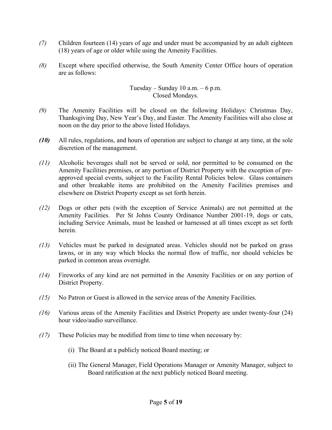- *(7)* Children fourteen (14) years of age and under must be accompanied by an adult eighteen (18) years of age or older while using the Amenity Facilities.
- *(8)* Except where specified otherwise, the South Amenity Center Office hours of operation are as follows:

#### Tuesday – Sunday 10 a.m. – 6 p.m. Closed Mondays.

- *(9)* The Amenity Facilities will be closed on the following Holidays: Christmas Day, Thanksgiving Day, New Year's Day, and Easter. The Amenity Facilities will also close at noon on the day prior to the above listed Holidays.
- *(10)* All rules, regulations, and hours of operation are subject to change at any time, at the sole discretion of the management.
- *(11)* Alcoholic beverages shall not be served or sold, nor permitted to be consumed on the Amenity Facilities premises, or any portion of District Property with the exception of preapproved special events, subject to the Facility Rental Policies below. Glass containers and other breakable items are prohibited on the Amenity Facilities premises and elsewhere on District Property except as set forth herein.
- *(12)* Dogs or other pets (with the exception of Service Animals) are not permitted at the Amenity Facilities. Per St Johns County Ordinance Number 2001-19, dogs or cats, including Service Animals, must be leashed or harnessed at all times except as set forth herein.
- *(13)* Vehicles must be parked in designated areas. Vehicles should not be parked on grass lawns, or in any way which blocks the normal flow of traffic, nor should vehicles be parked in common areas overnight.
- *(14)* Fireworks of any kind are not permitted in the Amenity Facilities or on any portion of District Property.
- *(15)* No Patron or Guest is allowed in the service areas of the Amenity Facilities.
- *(16)* Various areas of the Amenity Facilities and District Property are under twenty-four (24) hour video/audio surveillance.
- *(17)* These Policies may be modified from time to time when necessary by:
	- (i) The Board at a publicly noticed Board meeting; or
	- (ii) The General Manager, Field Operations Manager or Amenity Manager, subject to Board ratification at the next publicly noticed Board meeting.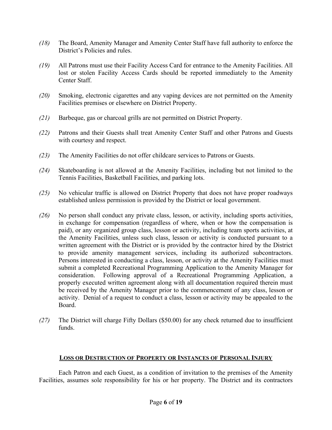- *(18)* The Board, Amenity Manager and Amenity Center Staff have full authority to enforce the District's Policies and rules.
- *(19)* All Patrons must use their Facility Access Card for entrance to the Amenity Facilities. All lost or stolen Facility Access Cards should be reported immediately to the Amenity Center Staff.
- *(20)* Smoking, electronic cigarettes and any vaping devices are not permitted on the Amenity Facilities premises or elsewhere on District Property.
- *(21)* Barbeque, gas or charcoal grills are not permitted on District Property.
- *(22)* Patrons and their Guests shall treat Amenity Center Staff and other Patrons and Guests with courtesy and respect.
- *(23)* The Amenity Facilities do not offer childcare services to Patrons or Guests.
- *(24)* Skateboarding is not allowed at the Amenity Facilities, including but not limited to the Tennis Facilities, Basketball Facilities, and parking lots.
- *(25)* No vehicular traffic is allowed on District Property that does not have proper roadways established unless permission is provided by the District or local government.
- *(26)* No person shall conduct any private class, lesson, or activity, including sports activities, in exchange for compensation (regardless of where, when or how the compensation is paid), or any organized group class, lesson or activity, including team sports activities, at the Amenity Facilities, unless such class, lesson or activity is conducted pursuant to a written agreement with the District or is provided by the contractor hired by the District to provide amenity management services, including its authorized subcontractors. Persons interested in conducting a class, lesson, or activity at the Amenity Facilities must submit a completed Recreational Programming Application to the Amenity Manager for consideration. Following approval of a Recreational Programming Application, a properly executed written agreement along with all documentation required therein must be received by the Amenity Manager prior to the commencement of any class, lesson or activity. Denial of a request to conduct a class, lesson or activity may be appealed to the Board.
- *(27)* The District will charge Fifty Dollars (\$50.00) for any check returned due to insufficient funds.

### **LOSS OR DESTRUCTION OF PROPERTY OR INSTANCES OF PERSONAL INJURY**

Each Patron and each Guest, as a condition of invitation to the premises of the Amenity Facilities, assumes sole responsibility for his or her property. The District and its contractors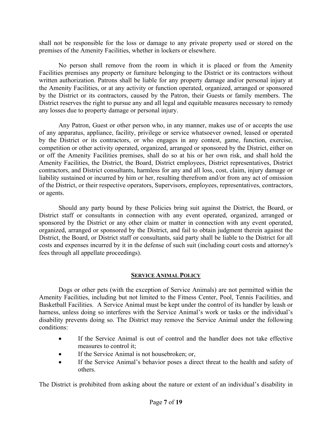shall not be responsible for the loss or damage to any private property used or stored on the premises of the Amenity Facilities, whether in lockers or elsewhere.

No person shall remove from the room in which it is placed or from the Amenity Facilities premises any property or furniture belonging to the District or its contractors without written authorization. Patrons shall be liable for any property damage and/or personal injury at the Amenity Facilities, or at any activity or function operated, organized, arranged or sponsored by the District or its contractors, caused by the Patron, their Guests or family members. The District reserves the right to pursue any and all legal and equitable measures necessary to remedy any losses due to property damage or personal injury.

Any Patron, Guest or other person who, in any manner, makes use of or accepts the use of any apparatus, appliance, facility, privilege or service whatsoever owned, leased or operated by the District or its contractors, or who engages in any contest, game, function, exercise, competition or other activity operated, organized, arranged or sponsored by the District, either on or off the Amenity Facilities premises, shall do so at his or her own risk, and shall hold the Amenity Facilities, the District, the Board, District employees, District representatives, District contractors, and District consultants, harmless for any and all loss, cost, claim, injury damage or liability sustained or incurred by him or her, resulting therefrom and/or from any act of omission of the District, or their respective operators, Supervisors, employees, representatives, contractors, or agents.

Should any party bound by these Policies bring suit against the District, the Board, or District staff or consultants in connection with any event operated, organized, arranged or sponsored by the District or any other claim or matter in connection with any event operated, organized, arranged or sponsored by the District, and fail to obtain judgment therein against the District, the Board, or District staff or consultants, said party shall be liable to the District for all costs and expenses incurred by it in the defense of such suit (including court costs and attorney's fees through all appellate proceedings).

### **SERVICE ANIMAL POLICY**

Dogs or other pets (with the exception of Service Animals) are not permitted within the Amenity Facilities, including but not limited to the Fitness Center, Pool, Tennis Facilities, and Basketball Facilities. A Service Animal must be kept under the control of its handler by leash or harness, unless doing so interferes with the Service Animal's work or tasks or the individual's disability prevents doing so. The District may remove the Service Animal under the following conditions:

- If the Service Animal is out of control and the handler does not take effective measures to control it;
- If the Service Animal is not housebroken; or,
- If the Service Animal's behavior poses a direct threat to the health and safety of others.

The District is prohibited from asking about the nature or extent of an individual's disability in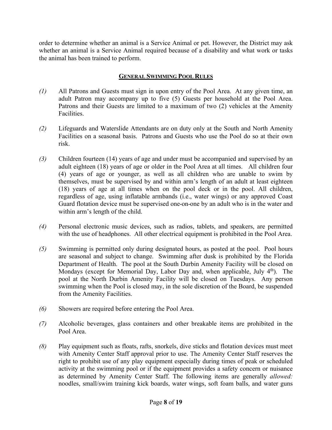order to determine whether an animal is a Service Animal or pet. However, the District may ask whether an animal is a Service Animal required because of a disability and what work or tasks the animal has been trained to perform.

## **GENERAL SWIMMING POOL RULES**

- *(1)* All Patrons and Guests must sign in upon entry of the Pool Area. At any given time, an adult Patron may accompany up to five (5) Guests per household at the Pool Area. Patrons and their Guests are limited to a maximum of two (2) vehicles at the Amenity Facilities.
- *(2)* Lifeguards and Waterslide Attendants are on duty only at the South and North Amenity Facilities on a seasonal basis. Patrons and Guests who use the Pool do so at their own risk.
- *(3)* Children fourteen (14) years of age and under must be accompanied and supervised by an adult eighteen (18) years of age or older in the Pool Area at all times. All children four (4) years of age or younger, as well as all children who are unable to swim by themselves, must be supervised by and within arm's length of an adult at least eighteen (18) years of age at all times when on the pool deck or in the pool. All children, regardless of age, using inflatable armbands (i.e., water wings) or any approved Coast Guard flotation device must be supervised one-on-one by an adult who is in the water and within arm's length of the child.
- *(4)* Personal electronic music devices, such as radios, tablets, and speakers, are permitted with the use of headphones. All other electrical equipment is prohibited in the Pool Area.
- *(5)* Swimming is permitted only during designated hours, as posted at the pool. Pool hours are seasonal and subject to change. Swimming after dusk is prohibited by the Florida Department of Health. The pool at the South Durbin Amenity Facility will be closed on Mondays (except for Memorial Day, Labor Day and, when applicable, July  $4<sup>th</sup>$ ). The pool at the North Durbin Amenity Facility will be closed on Tuesdays. Any person swimming when the Pool is closed may, in the sole discretion of the Board, be suspended from the Amenity Facilities.
- *(6)* Showers are required before entering the Pool Area.
- *(7)* Alcoholic beverages, glass containers and other breakable items are prohibited in the Pool Area.
- *(8)* Play equipment such as floats, rafts, snorkels, dive sticks and flotation devices must meet with Amenity Center Staff approval prior to use. The Amenity Center Staff reserves the right to prohibit use of any play equipment especially during times of peak or scheduled activity at the swimming pool or if the equipment provides a safety concern or nuisance as determined by Amenity Center Staff. The following items are generally *allowed:*  noodles, small/swim training kick boards, water wings, soft foam balls, and water guns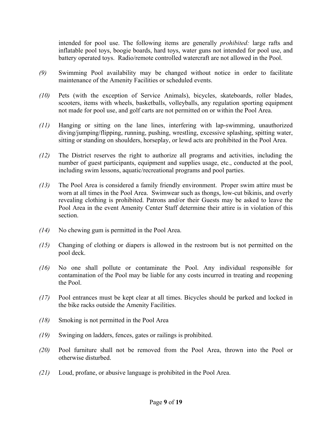intended for pool use. The following items are generally *prohibited:* large rafts and inflatable pool toys, boogie boards, hard toys, water guns not intended for pool use, and battery operated toys. Radio/remote controlled watercraft are not allowed in the Pool.

- *(9)* Swimming Pool availability may be changed without notice in order to facilitate maintenance of the Amenity Facilities or scheduled events.
- *(10)* Pets (with the exception of Service Animals), bicycles, skateboards, roller blades, scooters, items with wheels, basketballs, volleyballs, any regulation sporting equipment not made for pool use, and golf carts are not permitted on or within the Pool Area.
- *(11)* Hanging or sitting on the lane lines, interfering with lap-swimming, unauthorized diving/jumping/flipping, running, pushing, wrestling, excessive splashing, spitting water, sitting or standing on shoulders, horseplay, or lewd acts are prohibited in the Pool Area.
- *(12)* The District reserves the right to authorize all programs and activities, including the number of guest participants, equipment and supplies usage, etc., conducted at the pool, including swim lessons, aquatic/recreational programs and pool parties.
- *(13)* The Pool Area is considered a family friendly environment. Proper swim attire must be worn at all times in the Pool Area. Swimwear such as thongs, low-cut bikinis, and overly revealing clothing is prohibited. Patrons and/or their Guests may be asked to leave the Pool Area in the event Amenity Center Staff determine their attire is in violation of this section.
- *(14)* No chewing gum is permitted in the Pool Area.
- *(15)* Changing of clothing or diapers is allowed in the restroom but is not permitted on the pool deck.
- *(16)* No one shall pollute or contaminate the Pool. Any individual responsible for contamination of the Pool may be liable for any costs incurred in treating and reopening the Pool.
- *(17)* Pool entrances must be kept clear at all times. Bicycles should be parked and locked in the bike racks outside the Amenity Facilities.
- *(18)* Smoking is not permitted in the Pool Area
- *(19)* Swinging on ladders, fences, gates or railings is prohibited.
- *(20)* Pool furniture shall not be removed from the Pool Area, thrown into the Pool or otherwise disturbed.
- *(21)* Loud, profane, or abusive language is prohibited in the Pool Area.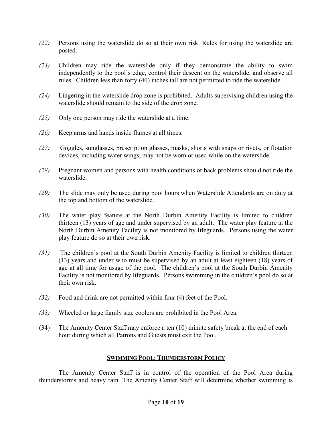- *(22)* Persons using the waterslide do so at their own risk. Rules for using the waterslide are posted.
- *(23)* Children may ride the waterslide only if they demonstrate the ability to swim independently to the pool's edge, control their descent on the waterslide, and observe all rules. Children less than forty (40) inches tall are not permitted to ride the waterslide.
- *(24)* Lingering in the waterslide drop zone is prohibited. Adults supervising children using the waterslide should remain to the side of the drop zone.
- *(25)* Only one person may ride the waterslide at a time.
- *(26)* Keep arms and hands inside flumes at all times.
- *(27)* Goggles, sunglasses, prescription glasses, masks, shorts with snaps or rivets, or flotation devices, including water wings, may not be worn or used while on the waterslide.
- *(28)* Pregnant women and persons with health conditions or back problems should not ride the waterslide.
- *(29)* The slide may only be used during pool hours when Waterslide Attendants are on duty at the top and bottom of the waterslide.
- *(30)* The water play feature at the North Durbin Amenity Facility is limited to children thirteen (13) years of age and under supervised by an adult. The water play feature at the North Durbin Amenity Facility is not monitored by lifeguards. Persons using the water play feature do so at their own risk.
- *(31)* The children's pool at the South Durbin Amenity Facility is limited to children thirteen (13) years and under who must be supervised by an adult at least eighteen (18) years of age at all time for usage of the pool. The children's pool at the South Durbin Amenity Facility is not monitored by lifeguards. Persons swimming in the children's pool do so at their own risk.
- *(32)* Food and drink are not permitted within four (4) feet of the Pool.
- *(33)* Wheeled or large family size coolers are prohibited in the Pool Area.
- (34) The Amenity Center Staff may enforce a ten (10) minute safety break at the end of each hour during which all Patrons and Guests must exit the Pool.

### **SWIMMING POOL: THUNDERSTORM POLICY**

The Amenity Center Staff is in control of the operation of the Pool Area during thunderstorms and heavy rain. The Amenity Center Staff will determine whether swimming is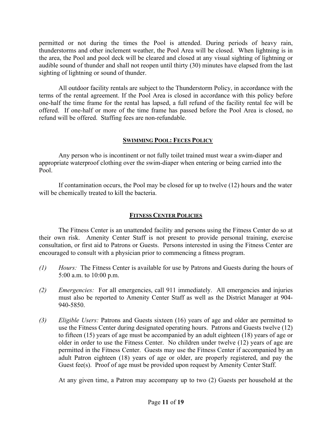permitted or not during the times the Pool is attended. During periods of heavy rain, thunderstorms and other inclement weather, the Pool Area will be closed. When lightning is in the area, the Pool and pool deck will be cleared and closed at any visual sighting of lightning or audible sound of thunder and shall not reopen until thirty (30) minutes have elapsed from the last sighting of lightning or sound of thunder.

All outdoor facility rentals are subject to the Thunderstorm Policy, in accordance with the terms of the rental agreement. If the Pool Area is closed in accordance with this policy before one-half the time frame for the rental has lapsed, a full refund of the facility rental fee will be offered. If one-half or more of the time frame has passed before the Pool Area is closed, no refund will be offered. Staffing fees are non-refundable.

### **SWIMMING POOL: FECES POLICY**

Any person who is incontinent or not fully toilet trained must wear a swim-diaper and appropriate waterproof clothing over the swim-diaper when entering or being carried into the Pool.

If contamination occurs, the Pool may be closed for up to twelve (12) hours and the water will be chemically treated to kill the bacteria.

## **FITNESS CENTER POLICIES**

The Fitness Center is an unattended facility and persons using the Fitness Center do so at their own risk. Amenity Center Staff is not present to provide personal training, exercise consultation, or first aid to Patrons or Guests. Persons interested in using the Fitness Center are encouraged to consult with a physician prior to commencing a fitness program.

- *(1) Hours:* The Fitness Center is available for use by Patrons and Guests during the hours of 5:00 a.m. to 10:00 p.m.
- *(2) Emergencies:* For all emergencies, call 911 immediately. All emergencies and injuries must also be reported to Amenity Center Staff as well as the District Manager at 904- 940-5850.
- *(3) Eligible Users:* Patrons and Guests sixteen (16) years of age and older are permitted to use the Fitness Center during designated operating hours. Patrons and Guests twelve (12) to fifteen (15) years of age must be accompanied by an adult eighteen (18) years of age or older in order to use the Fitness Center. No children under twelve (12) years of age are permitted in the Fitness Center. Guests may use the Fitness Center if accompanied by an adult Patron eighteen (18) years of age or older, are properly registered, and pay the Guest fee(s). Proof of age must be provided upon request by Amenity Center Staff.

At any given time, a Patron may accompany up to two (2) Guests per household at the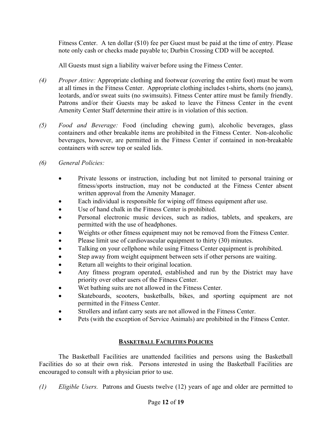Fitness Center. A ten dollar (\$10) fee per Guest must be paid at the time of entry. Please note only cash or checks made payable to; Durbin Crossing CDD will be accepted.

All Guests must sign a liability waiver before using the Fitness Center.

- *(4) Proper Attire:* Appropriate clothing and footwear (covering the entire foot) must be worn at all times in the Fitness Center. Appropriate clothing includes t-shirts, shorts (no jeans), leotards, and/or sweat suits (no swimsuits). Fitness Center attire must be family friendly. Patrons and/or their Guests may be asked to leave the Fitness Center in the event Amenity Center Staff determine their attire is in violation of this section.
- *(5) Food and Beverage:* Food (including chewing gum), alcoholic beverages, glass containers and other breakable items are prohibited in the Fitness Center. Non-alcoholic beverages, however, are permitted in the Fitness Center if contained in non-breakable containers with screw top or sealed lids.
- *(6) General Policies:*
	- Private lessons or instruction, including but not limited to personal training or fitness/sports instruction, may not be conducted at the Fitness Center absent written approval from the Amenity Manager.
	- Each individual is responsible for wiping off fitness equipment after use.
	- Use of hand chalk in the Fitness Center is prohibited.
	- Personal electronic music devices, such as radios, tablets, and speakers, are permitted with the use of headphones.
	- Weights or other fitness equipment may not be removed from the Fitness Center.
	- Please limit use of cardiovascular equipment to thirty (30) minutes.
	- Talking on your cellphone while using Fitness Center equipment is prohibited.
	- Step away from weight equipment between sets if other persons are waiting.
	- Return all weights to their original location.
	- Any fitness program operated, established and run by the District may have priority over other users of the Fitness Center.
	- Wet bathing suits are not allowed in the Fitness Center.
	- Skateboards, scooters, basketballs, bikes, and sporting equipment are not permitted in the Fitness Center.
	- Strollers and infant carry seats are not allowed in the Fitness Center.
	- Pets (with the exception of Service Animals) are prohibited in the Fitness Center.

# **BASKETBALL FACILITIES POLICIES**

The Basketball Facilities are unattended facilities and persons using the Basketball Facilities do so at their own risk. Persons interested in using the Basketball Facilities are encouraged to consult with a physician prior to use.

*(1) Eligible Users.* Patrons and Guests twelve (12) years of age and older are permitted to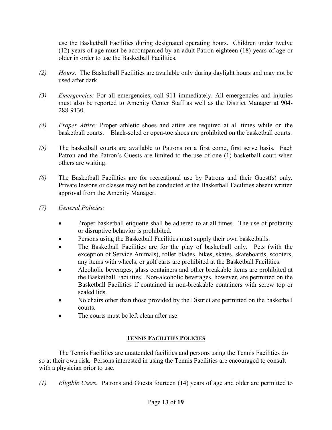use the Basketball Facilities during designated operating hours. Children under twelve (12) years of age must be accompanied by an adult Patron eighteen (18) years of age or older in order to use the Basketball Facilities.

- *(2) Hours.* The Basketball Facilities are available only during daylight hours and may not be used after dark.
- *(3) Emergencies:* For all emergencies, call 911 immediately. All emergencies and injuries must also be reported to Amenity Center Staff as well as the District Manager at 904- 288-9130.
- *(4) Proper Attire:* Proper athletic shoes and attire are required at all times while on the basketball courts. Black-soled or open-toe shoes are prohibited on the basketball courts.
- *(5)* The basketball courts are available to Patrons on a first come, first serve basis. Each Patron and the Patron's Guests are limited to the use of one (1) basketball court when others are waiting.
- *(6)* The Basketball Facilities are for recreational use by Patrons and their Guest(s) only*.*  Private lessons or classes may not be conducted at the Basketball Facilities absent written approval from the Amenity Manager.
- *(7) General Policies:*
	- Proper basketball etiquette shall be adhered to at all times. The use of profanity or disruptive behavior is prohibited.
	- Persons using the Basketball Facilities must supply their own basketballs.
	- The Basketball Facilities are for the play of basketball only. Pets (with the exception of Service Animals), roller blades, bikes, skates, skateboards, scooters, any items with wheels, or golf carts are prohibited at the Basketball Facilities.
	- Alcoholic beverages, glass containers and other breakable items are prohibited at the Basketball Facilities. Non-alcoholic beverages, however, are permitted on the Basketball Facilities if contained in non-breakable containers with screw top or sealed lids.
	- No chairs other than those provided by the District are permitted on the basketball courts.
	- The courts must be left clean after use.

# **TENNIS FACILITIES POLICIES**

The Tennis Facilities are unattended facilities and persons using the Tennis Facilities do so at their own risk. Persons interested in using the Tennis Facilities are encouraged to consult with a physician prior to use.

*(1) Eligible Users.* Patrons and Guests fourteen (14) years of age and older are permitted to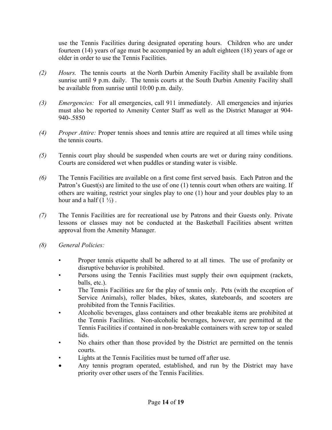use the Tennis Facilities during designated operating hours. Children who are under fourteen (14) years of age must be accompanied by an adult eighteen (18) years of age or older in order to use the Tennis Facilities.

- *(2) Hours.* The tennis courts at the North Durbin Amenity Facility shall be available from sunrise until 9 p.m. daily. The tennis courts at the South Durbin Amenity Facility shall be available from sunrise until 10:00 p.m. daily.
- *(3) Emergencies:* For all emergencies, call 911 immediately. All emergencies and injuries must also be reported to Amenity Center Staff as well as the District Manager at 904- 940-.5850
- *(4) Proper Attire:* Proper tennis shoes and tennis attire are required at all times while using the tennis courts.
- *(5)* Tennis court play should be suspended when courts are wet or during rainy conditions. Courts are considered wet when puddles or standing water is visible.
- *(6)* The Tennis Facilities are available on a first come first served basis. Each Patron and the Patron's Guest(s) are limited to the use of one (1) tennis court when others are waiting. If others are waiting, restrict your singles play to one (1) hour and your doubles play to an hour and a half  $(1 \frac{1}{2})$ .
- *(7)* The Tennis Facilities are for recreational use by Patrons and their Guests only*.* Private lessons or classes may not be conducted at the Basketball Facilities absent written approval from the Amenity Manager.
- *(8) General Policies:*
	- Proper tennis etiquette shall be adhered to at all times. The use of profanity or disruptive behavior is prohibited.
	- Persons using the Tennis Facilities must supply their own equipment (rackets, balls, etc.).
	- The Tennis Facilities are for the play of tennis only. Pets (with the exception of Service Animals), roller blades, bikes, skates, skateboards, and scooters are prohibited from the Tennis Facilities.
	- Alcoholic beverages, glass containers and other breakable items are prohibited at the Tennis Facilities. Non-alcoholic beverages, however, are permitted at the Tennis Facilities if contained in non-breakable containers with screw top or sealed lids.
	- No chairs other than those provided by the District are permitted on the tennis courts.
	- Lights at the Tennis Facilities must be turned off after use.
	- Any tennis program operated, established, and run by the District may have priority over other users of the Tennis Facilities.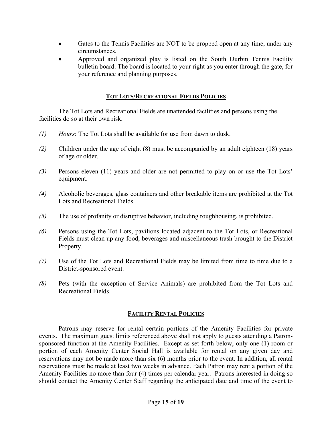- Gates to the Tennis Facilities are NOT to be propped open at any time, under any circumstances.
- Approved and organized play is listed on the South Durbin Tennis Facility bulletin board. The board is located to your right as you enter through the gate, for your reference and planning purposes.

### **TOT LOTS/RECREATIONAL FIELDS POLICIES**

The Tot Lots and Recreational Fields are unattended facilities and persons using the facilities do so at their own risk.

- *(1) Hours*: The Tot Lots shall be available for use from dawn to dusk.
- *(2)* Children under the age of eight (8) must be accompanied by an adult eighteen (18) years of age or older.
- *(3)* Persons eleven (11) years and older are not permitted to play on or use the Tot Lots' equipment.
- *(4)* Alcoholic beverages, glass containers and other breakable items are prohibited at the Tot Lots and Recreational Fields.
- *(5)* The use of profanity or disruptive behavior, including roughhousing, is prohibited.
- *(6)* Persons using the Tot Lots, pavilions located adjacent to the Tot Lots, or Recreational Fields must clean up any food, beverages and miscellaneous trash brought to the District Property.
- *(7)* Use of the Tot Lots and Recreational Fields may be limited from time to time due to a District-sponsored event.
- *(8)* Pets (with the exception of Service Animals) are prohibited from the Tot Lots and Recreational Fields.

### **FACILITY RENTAL POLICIES**

Patrons may reserve for rental certain portions of the Amenity Facilities for private events. The maximum guest limits referenced above shall not apply to guests attending a Patronsponsored function at the Amenity Facilities. Except as set forth below, only one (1) room or portion of each Amenity Center Social Hall is available for rental on any given day and reservations may not be made more than six (6) months prior to the event. In addition, all rental reservations must be made at least two weeks in advance. Each Patron may rent a portion of the Amenity Facilities no more than four (4) times per calendar year. Patrons interested in doing so should contact the Amenity Center Staff regarding the anticipated date and time of the event to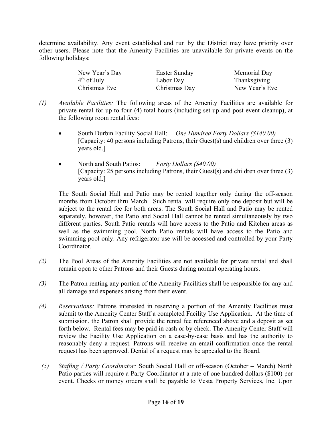determine availability. Any event established and run by the District may have priority over other users. Please note that the Amenity Facilities are unavailable for private events on the following holidays:

| New Year's Day | Easter Sunday | Memorial Day   |
|----------------|---------------|----------------|
| $4th$ of July  | Labor Day     | Thanksgiving   |
| Christmas Eve  | Christmas Day | New Year's Eve |

- *(1) Available Facilities:* The following areas of the Amenity Facilities are available for private rental for up to four (4) total hours (including set-up and post-event cleanup), at the following room rental fees:
	- South Durbin Facility Social Hall: *One Hundred Forty Dollars (\$140.00)* [Capacity: 40 persons including Patrons, their Guest(s) and children over three (3) years old.]
	- North and South Patios: *Forty Dollars (\$40.00)*  [Capacity: 25 persons including Patrons, their Guest(s) and children over three (3) years old.]

The South Social Hall and Patio may be rented together only during the off-season months from October thru March. Such rental will require only one deposit but will be subject to the rental fee for both areas. The South Social Hall and Patio may be rented separately, however, the Patio and Social Hall cannot be rented simultaneously by two different parties. South Patio rentals will have access to the Patio and Kitchen areas as well as the swimming pool. North Patio rentals will have access to the Patio and swimming pool only. Any refrigerator use will be accessed and controlled by your Party Coordinator.

- *(2)* The Pool Areas of the Amenity Facilities are not available for private rental and shall remain open to other Patrons and their Guests during normal operating hours.
- *(3)* The Patron renting any portion of the Amenity Facilities shall be responsible for any and all damage and expenses arising from their event.
- *(4) Reservations:* Patrons interested in reserving a portion of the Amenity Facilities must submit to the Amenity Center Staff a completed Facility Use Application. At the time of submission, the Patron shall provide the rental fee referenced above and a deposit as set forth below. Rental fees may be paid in cash or by check. The Amenity Center Staff will review the Facility Use Application on a case-by-case basis and has the authority to reasonably deny a request. Patrons will receive an email confirmation once the rental request has been approved. Denial of a request may be appealed to the Board.
- *(5) Staffing / Party Coordinator:* South Social Hall or off-season (October March) North Patio parties will require a Party Coordinator at a rate of one hundred dollars (\$100) per event. Checks or money orders shall be payable to Vesta Property Services, Inc. Upon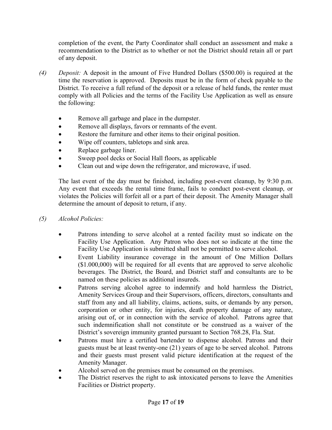completion of the event, the Party Coordinator shall conduct an assessment and make a recommendation to the District as to whether or not the District should retain all or part of any deposit.

- *(4) Deposit:* A deposit in the amount of Five Hundred Dollars (\$500.00) is required at the time the reservation is approved. Deposits must be in the form of check payable to the District. To receive a full refund of the deposit or a release of held funds, the renter must comply with all Policies and the terms of the Facility Use Application as well as ensure the following:
	- Remove all garbage and place in the dumpster.
	- Remove all displays, favors or remnants of the event.
	- Restore the furniture and other items to their original position.
	- Wipe off counters, tabletops and sink area.
	- Replace garbage liner.
	- Sweep pool decks or Social Hall floors, as applicable
	- Clean out and wipe down the refrigerator, and microwave, if used.

The last event of the day must be finished, including post-event cleanup, by 9:30 p.m. Any event that exceeds the rental time frame, fails to conduct post-event cleanup, or violates the Policies will forfeit all or a part of their deposit. The Amenity Manager shall determine the amount of deposit to return, if any.

- *(5) Alcohol Policies:*
	- Patrons intending to serve alcohol at a rented facility must so indicate on the Facility Use Application. Any Patron who does not so indicate at the time the Facility Use Application is submitted shall not be permitted to serve alcohol.
	- Event Liability insurance coverage in the amount of One Million Dollars (\$1.000,000) will be required for all events that are approved to serve alcoholic beverages. The District, the Board, and District staff and consultants are to be named on these policies as additional insureds.
	- Patrons serving alcohol agree to indemnify and hold harmless the District, Amenity Services Group and their Supervisors, officers, directors, consultants and staff from any and all liability, claims, actions, suits, or demands by any person, corporation or other entity, for injuries, death property damage of any nature, arising out of, or in connection with the service of alcohol. Patrons agree that such indemnification shall not constitute or be construed as a waiver of the District's sovereign immunity granted pursuant to Section 768.28, Fla. Stat.
	- Patrons must hire a certified bartender to dispense alcohol. Patrons and their guests must be at least twenty-one (21) years of age to be served alcohol. Patrons and their guests must present valid picture identification at the request of the Amenity Manager.
	- Alcohol served on the premises must be consumed on the premises.
	- The District reserves the right to ask intoxicated persons to leave the Amenities Facilities or District property.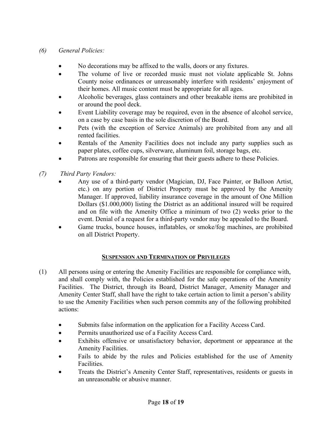# *(6) General Policies:*

- No decorations may be affixed to the walls, doors or any fixtures.
- The volume of live or recorded music must not violate applicable St. Johns County noise ordinances or unreasonably interfere with residents' enjoyment of their homes. All music content must be appropriate for all ages.
- Alcoholic beverages, glass containers and other breakable items are prohibited in or around the pool deck.
- Event Liability coverage may be required, even in the absence of alcohol service, on a case by case basis in the sole discretion of the Board.
- Pets (with the exception of Service Animals) are prohibited from any and all rented facilities.
- Rentals of the Amenity Facilities does not include any party supplies such as paper plates, coffee cups, silverware, aluminum foil, storage bags, etc.
- Patrons are responsible for ensuring that their guests adhere to these Policies.
- *(7) Third Party Vendors:* 
	- Any use of a third-party vendor (Magician, DJ, Face Painter, or Balloon Artist, etc.) on any portion of District Property must be approved by the Amenity Manager. If approved, liability insurance coverage in the amount of One Million Dollars (\$1.000,000) listing the District as an additional insured will be required and on file with the Amenity Office a minimum of two (2) weeks prior to the event. Denial of a request for a third-party vendor may be appealed to the Board.
	- Game trucks, bounce houses, inflatables, or smoke/fog machines, are prohibited on all District Property.

# **SUSPENSION AND TERMINATION OF PRIVILEGES**

- (1) All persons using or entering the Amenity Facilities are responsible for compliance with, and shall comply with, the Policies established for the safe operations of the Amenity Facilities. The District, through its Board, District Manager, Amenity Manager and Amenity Center Staff, shall have the right to take certain action to limit a person's ability to use the Amenity Facilities when such person commits any of the following prohibited actions:
	- Submits false information on the application for a Facility Access Card.
	- Permits unauthorized use of a Facility Access Card.
	- Exhibits offensive or unsatisfactory behavior, deportment or appearance at the Amenity Facilities.
	- Fails to abide by the rules and Policies established for the use of Amenity Facilities.
	- Treats the District's Amenity Center Staff, representatives, residents or guests in an unreasonable or abusive manner.